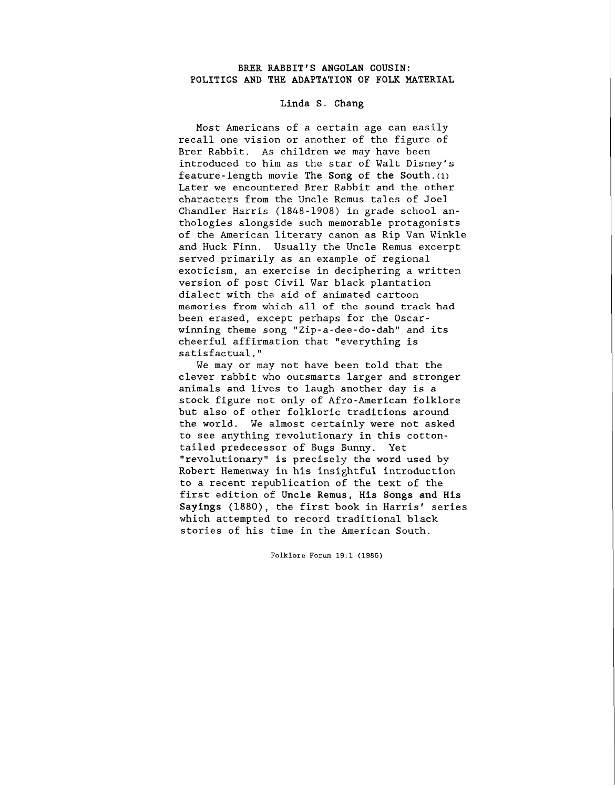## **BRER RABBIT'S ANGOLAN COUSIN: POLITICS AND THE ADAPTATION OF FOLK MATERIAL**

## **Linda S. Chang**

Most Americans of a certain age can easily recall one vision or another of the figure of Brer Rabbit. As children we may have been introduced to him as the star of Walt Disney's feature-length movie The Song of the South.<sup>(1)</sup> Later we encountered Brer Rabbit and the other characters from the Uncle Remus tales of Joel Chandler Harris (1848-1908) in grade school anthologies alongside such memorable protagonists of the American literary canon as Rip Van Winkle and Huck Finn. Usually the Uncle Remus excerpt served primarily as an example of regional exoticism, an exercise in deciphering a written version of post Civil War black plantation dialect with the aid of animated cartoon memories from which all of the sound track had been erased, except perhaps for the Oscarwinning theme song "Zip-a-dee-do-dah" and its cheerful affirmation that "everything is satisfactual."

We may or may not have been told that the clever rabbit who outsmarts larger and stronger animals and lives to laugh another day is a stock figure not only of Afro-American folklore but also of other folkloric traditions around the world. We almost certainly were not asked to see anything revolutionary in this cottontailed predecessor of Bugs Bunny. Yet "revolutionary" is precisely the word used by Robert Hemenway in his insightful introduction to a recent republication of the text of the first edition of **Uncle Remus,** His **Songs and His Sayings** (1880), the first book in Harris' series which attempted to record traditional black stories of his time in the American South.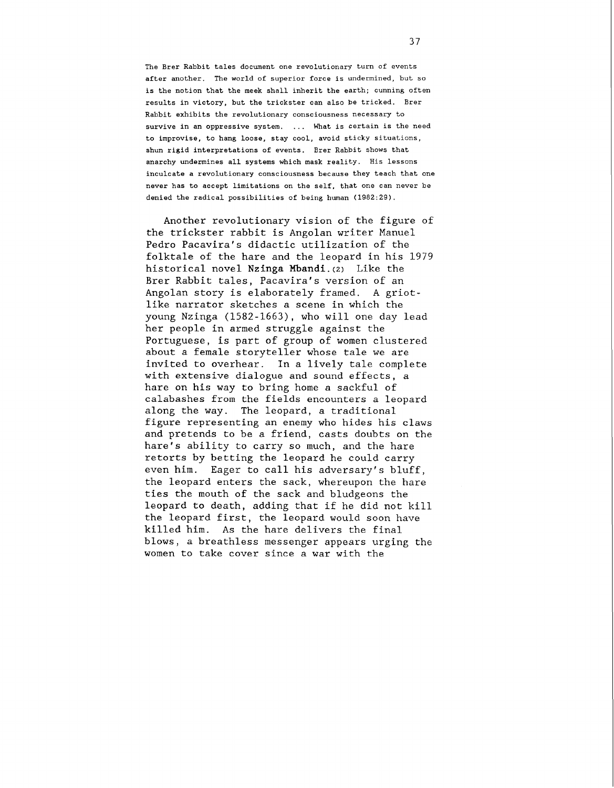The Brer Rabbit tales document one revolutionary turn of events after another. The world of superior force is undermined, but so is the notion that the meek shall inherit the earth; cunning often results in victory, but the trickster can also be tricked. Brer Rabbit exhibits the revolutionary consciousness necessary to survive in an oppressive system. ... What is certain is the need to improvise, to hang loose, stay cool, avoid sticky situations, shun rigid interpretations of events. Brer Rabbit shows that anarchy undermines all systems which mask reality. His lessons inculcate a revolutionary consciousness because they teach that one never has to accept limitations on the self, that one can never be denied the radical possibilities of being human (1982:29).

Another revolutionary vision of the figure of the trickster rabbit is Angolan writer Manuel Pedro Pacavira's didactic utilization of the folktale of the hare and the leopard in his 1979 historical novel Nzinga Mbandi. $(z)$  Like the Brer Rabbit tales, Pacavira's version of an Angolan story is elaborately framed. A griotlike narrator sketches a scene in which the young Nzinga (1582-1663), who will one day lead her people in armed struggle against the Portuguese, is part of group of women clustered about a female storyteller whose tale we are invited to overhear. In a lively tale complete with extensive dialogue and sound effects, a hare on his way to bring home a sackful of calabashes from the fields encounters a leopard along the way. The leopard, a traditional figure representing an enemy who hides his claws and pretends to be a friend, casts doubts on the hare's ability to carry so much, and the hare retorts by betting the leopard he could carry even him. Eager to call his adversary's bluff, the leopard enters the sack, whereupon the hare ties the mouth of the sack and bludgeons the leopard to death, adding that if he did not kill the leopard first, the leopard would soon have killed him. As the hare delivers the final blows, a breathless messenger appears urging the women to take cover since a war with the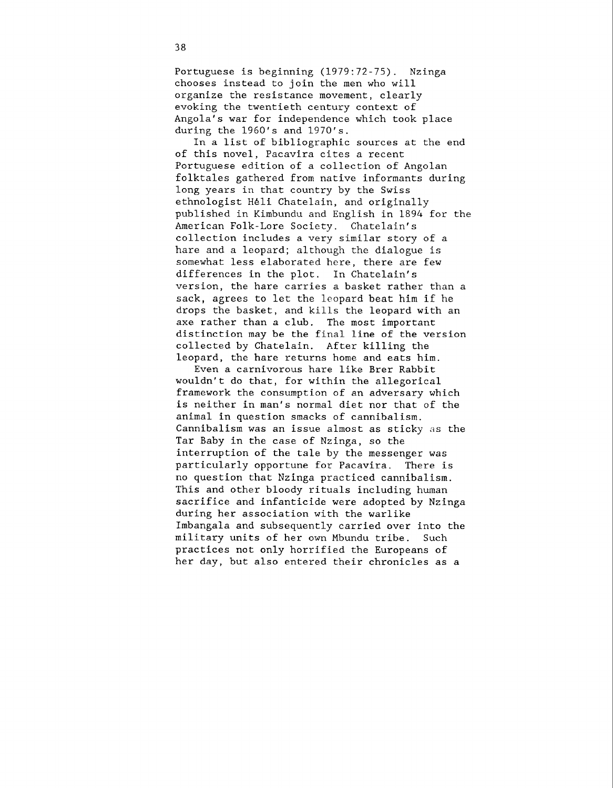Portuguese is beginning (1979:72-75). Nzinga chooses instead to join the men who will organize the resistance movement, clearly evoking the twentieth century context of Angola's war for independence which took place during the 1960's and 1970's.

In a list of bibliographic sources at the end of this novel, Pacavira cites a recent Portuguese edition of a collection of Angolan folktales gathered from native informants during long years in that country by the Swiss ethnologist Heli Chatelain, and originally published in Kimbundu and English in 1894 for the American Folk-Lore Society. Chatelain's collection includes a very similar story of a hare and a leopard; although the dialogue is somewhat less elaborated here, there are few differences in the plot. In Chatelain's version, the hare carries a basket rather than a sack, agrees to let the leopard beat him if he drops the basket, and kills the leopard with an axe rather than a club. The most important distinction may be the final line of the version collected by Chatelain. After killing the leopard, the hare returns home and eats him.

Even a carnivorous hare like Brer Rabbit wouldn't do that, for within the allegorical framework the consumption of an adversary which is neither in man's normal diet nor that of the animal in question smacks of cannibalism. Cannibalism was an issue almost as sticky as the Tar Baby in the case of Nzinga, so the interruption of the tale by the messenger was particularly opportune for Pacavira. There is no question that Nzinga practiced cannibalism. This and other bloody rituals including human sacrifice and infanticide were adopted by Nzinga during her association with the warlike Imbangala and subsequently carried over into the military units of her own Mbundu tribe. Such practices not only horrified the Europeans of her day, but also entered their chronicles as a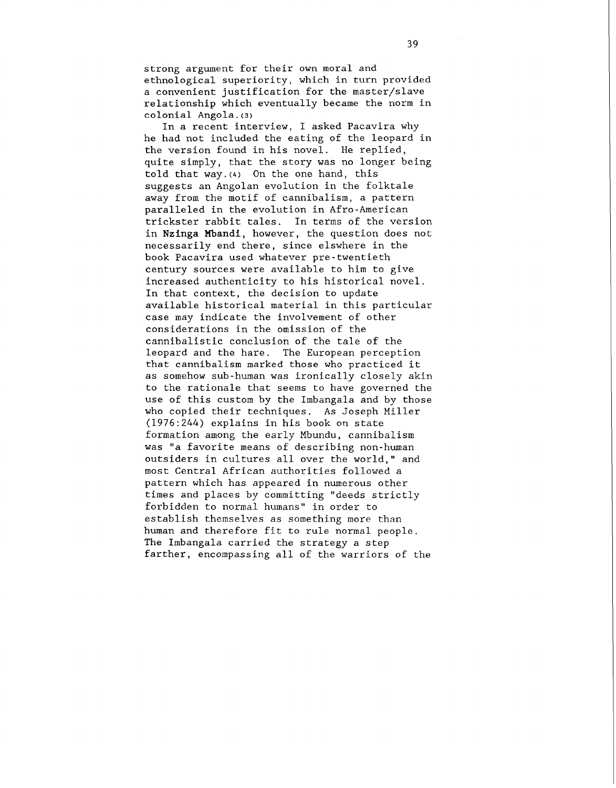strong argument for their own moral and ethnological superiority, which in turn provided a convenient justification for the master/slave relationship which eventually became the norm in colonial Angola. **(3)** 

In a recent interview, I asked Pacavira why he had not included the eating of the leopard in the version found in his novel. He replied, quite simply, that the story was no longer being told that way. $(4)$  On the one hand, this suggests an Angolan evolution in the folktale away from the motif of cannibalism, a pattern paralleled in the evolution in Afro-American trickster rabbit tales. In terms of the version in **Nzinga Mbandi,** however, the question does not necessarily end there, since elswhere in the book Pacavira used whatever pre-twentieth century sources were available to him to give increased authenticity to his historical novel. In that context, the decision to update available historical material in this particular case may indicate the involvement of other considerations in the omission of the cannibalistic conclusion of the tale of the leopard and the hare. The European perception that cannibalism marked those who practiced it as somehow sub-human was ironically closely akin to the rationale that seems to have governed the use of this custom by the Imbangala and by those who copied their techniques. As Joseph Miller (1976:244) explains in his book on state formation among the early Mbundu, cannibalism was "a favorite means of describing non-human outsiders in cultures all over the world," and most Central African authorities followed a pattern which has appeared in numerous other times and places by committing "deeds strictly forbidden to normal humans" in order to establish themselves as something more than human and therefore fit to rule normal people. The Imbangala carried the strategy a step farther, encompassing all of the warriors of the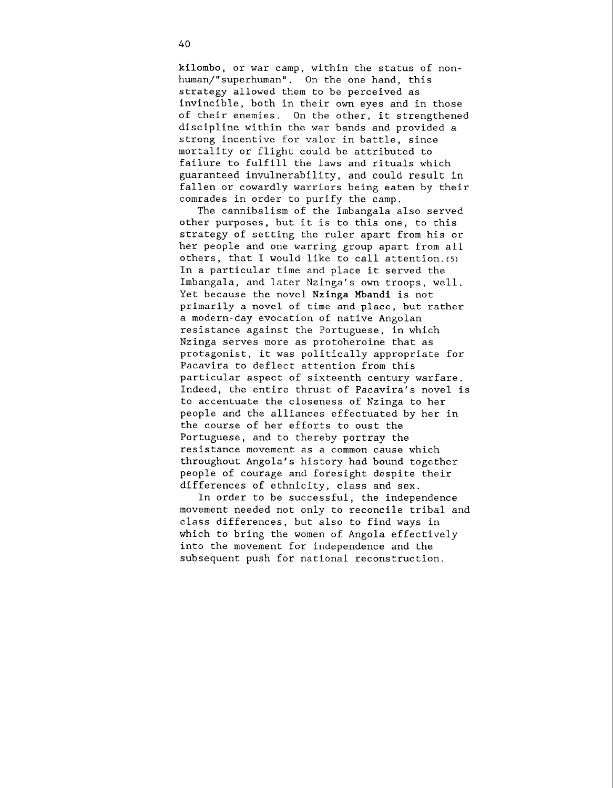kilombo, or war camp, within the status of nonhuman/"superhuman". On the one hand, this strategy allowed them to be perceived as invincible, both in their own eyes and in those of their enemies. On the other, it strengthened discipline within the war bands and provided a strong incentive for valor in battle, since mortality or flight could be attributed to failure to fulfill the laws and rituals which guaranteed invulnerability, and could result in fallen or cowardly warriors being eaten by their comrades in order to purify the camp.

The cannibalism of the Imbangala also served other purposes, but it is to this one, to this strategy of setting the ruler apart from his or her people and one warring group apart from all others, that I would like to call attention. $(5)$ In a particular time and place it served the Imbangala, and later Nzinga's own troops, well. Yet because the novel Nzinga Mbandi is not primarily a novel of time and place, but rather a modern-day evocation of native Angolan resistance against the Portuguese, in which Nzinga serves more as protoheroine that as protagonist, it was politically appropriate for Pacavira to deflect attention from this particular aspect of sixteenth century warfare. Indeed, the entire thrust of Pacavira's novel is to accentuate the closeness of Nzinga to her people and the alliances effectuated by her in the course of her efforts to oust the Portuguese, and to thereby portray the resistance movement as a common cause which throughout Angola's history had bound together people of courage and foresight despite their differences of ethnicity, class and sex.

In order to be successful, the independence movement needed not only to reconcile tribal and class differences, but also to find ways in which to bring the women of Angola effectively into the movement for independence and the subsequent push for national reconstruction.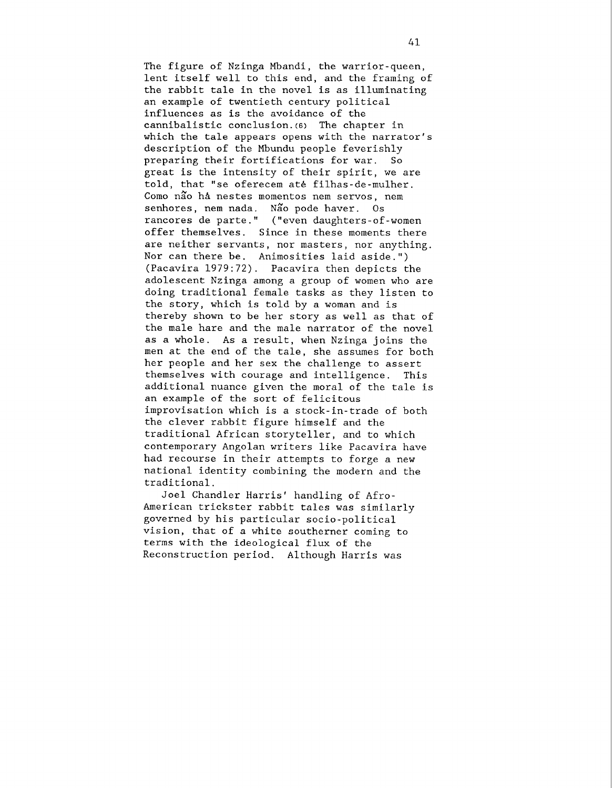The figure of Nzinga Mbandi, the warrior-queen, lent itself well to this end, and the framing of the rabbit tale in the novel is as illuminating an example of twentieth century political influences as is the avoidance of the cannibalistic conclusion. **(6)** The chapter in which the tale appears opens with the narrator's description of the Mbundu people feverishly preparing their fortifications for war. So great is the intensity of their spirit, we are told, that "se oferecem at6 filhas-de-mulher. Como não ha nestes momentos nem servos, nem senhores, nem nada. Não pode haver. Os rancores de parte." ("even daughters-of-women offer themselves. Since in these moments there are neither servants, nor masters, nor anything. Nor can there be. Animosities laid aside.") (Pacavira 1979:72). Pacavira then depicts the adolescent Nzinga among a group of women who are doing traditional female tasks as they listen to the story, which is told by a woman and is thereby shown to be her story as well as that of the male hare and the male narrator of the novel as a whole. As a result, when Nzinga joins the men at the end of the tale, she assumes for both her people and her sex the challenge to assert themselves with courage and intelligence. This additional nuance given the moral of the tale is an example of the sort of felicitous improvisation which is a stock-in-trade of both the clever rabbit figure himself and the traditional African storyteller, and to which contemporary Angolan writers like Pacavira have had recourse in their attempts to forge a new national identity combining the modern and the traditional.

Joel Chandler Harris' handling of Afro-American trickster rabbit tales was similarly governed by his particular socio-political vision, that of a white southerner coming to terms with the ideological flux of the Reconstruction period. Although Harris was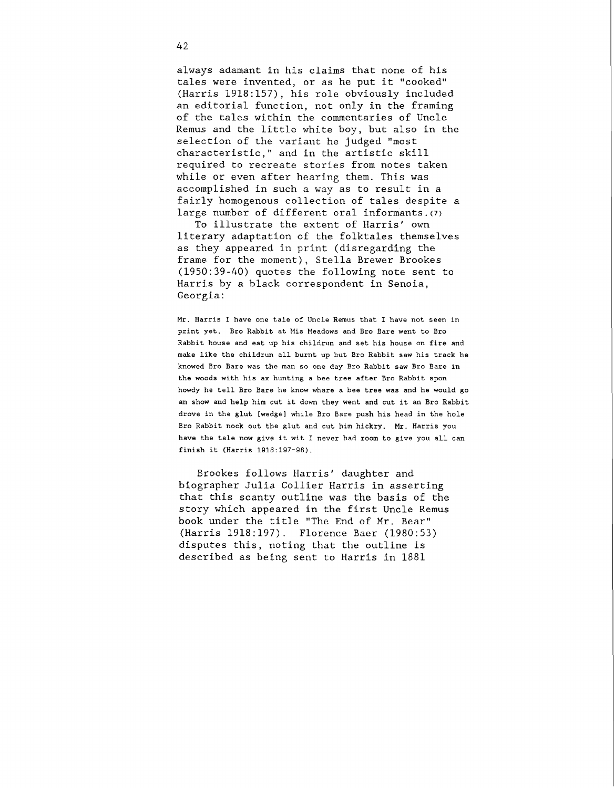always adamant in his claims that none of his tales were invented, or as he put it "cooked" (Harris 1918:157), his role obviously included an editorial function, not only in the framing of the tales within the commentaries of Uncle Remus and the little white boy, but also in the selection of the variant he judged "most characteristic," and in the artistic skill required to recreate stories from notes taken while or even after hearing them. This was accomplished in such a way as to result in a fairly homogenous collection of tales despite a large number of different oral informants.(7)

To illustrate the extent of Harris' own literary adaptation of the folktales themselves as they appeared in print (disregarding the frame for the moment), Stella Brewer Brookes (1950:39-40) quotes the following note sent to Harris by a black correspondent in Senoia, Georgia:

Mr. Harris I have one tale of Uncle Remus that I have not seen in print yet. Bro Rabbit at Mis Meadows and Bro Bare went to Bro Rabbit house and eat up his childrun and set his house on fire and make like the childrun all burnt up but Bro Rabbit saw his track he knowed Bro Bare was the man so one day Bro Rabbit saw Bro Bare in the woods with his ax hunting a bee tree after Bro Rabbit spon howdy he tell Bro Bare he know whare a bee tree was and he would go an show and help him cut it down they went and cut it an Bro Rabbit drove in the glut [wedge] while Bro Bare push his head in the hole Bro Rabbit nock out the glut and cut him hickry. Mr. Harris you have the tale now give it wit I never had room to give you all can finish it (Harris 1918:197-98).

Brookes follows Harris' daughter and biographer Julia Collier Harris in asserting that this scanty outline was the basis of the story which appeared in the first Uncle Remus book under the title "The End of Mr. Bear" (Harris 1918:197). Florence Baer (1980:53) disputes this, noting that the outline is described as being sent to Harris in 1881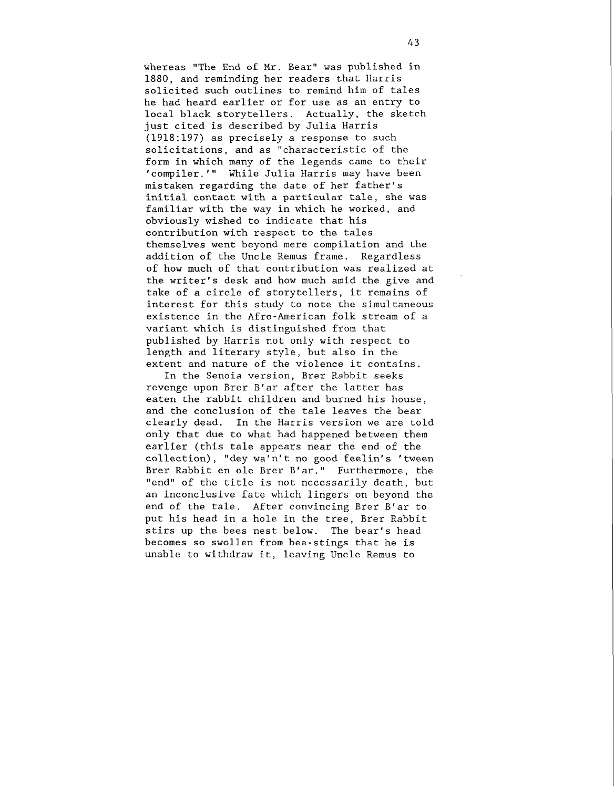whereas "The End of Mr. Bear" was published in 1880, and reminding her readers chat Harris solicited such outlines to remind him of tales he had heard earlier or for use as an entry to local black storytellers. Actually, the sketch just cited is described by Julia Harris (1918:197) as precisely a response to such solicitations, and as "characteristic of the form in which many of the legends came to their 'compiler.'" While Julia Harris may have been mistaken regarding the date of her father's initial contact with a particular tale, she was familiar with the way in which he worked, and obviously wished to indicate that his contribution with respect to the tales themselves went beyond mere compilation and the addition of the Uncle Remus frame. Regardless of how much of that contribution was realized at the writer's desk and how much amid the give and take of a circle of storytellers, it remains of interest for this study to note the simultaneous existence in the Afro-American folk stream of a variant which is distinguished from that published by Harris not only with respect to length and literary style, but also in the extent and nature of the violence it contains.

In the Senoia version, Brer Rabbit seeks revenge upon Brer B'ar after the latter has eaten the rabbit children and burned his house, and the conclusion of the tale leaves the bear clearly dead. In the Harris version we are told only that due to what had happened between them earlier (this tale appears near the end of the collection), "dey wa'n't no good feelin's 'tween Brer Rabbit en ole Brer B'ar." Furthermore, the "end" of the title is not necessarily death, but an inconclusive fate which lingers on beyond the end of the tale. After convincing Brer B'ar to put his head in a hole in the tree, Brer Rabbit stirs up the bees nest below. The bear's head becomes so swollen from bee-stings that he is unable to withdraw it, leaving Uncle Remus to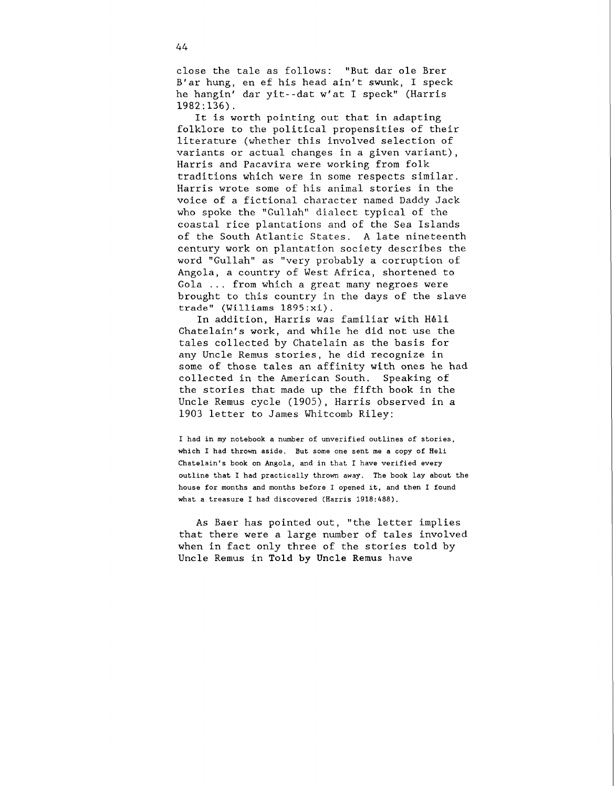close the tale as follows: "But dar ole Brer B'ar hung, en ef his head ain't swunk, I speck he hangin' dar yit--dat w'at I speck" (Harris  $1982:136$ .

It is worth pointing out that in adapting folklore to the political propensities of their literature (whether this involved selection of variants or actual changes in a given variant), Harris and Pacavira were working from folk traditions which were in some respects similar. Harris wrote some of his animal stories in the voice of a fictional character named Daddy Jack who spoke the "Gullah" dialect typical of the coastal rice plantations and of the Sea Islands of the South Atlantic States. A late nineteenth century work on plantation society describes the word "Gullah" as "very probably a corruption of Angola, a country of West Africa, shortened to Gola ... from which a great many negroes were brought to this country in the days of the slave trade" (Williams **1895:xi).** 

In addition, Harris was familiar with Heli Chatelain's work, and while he did not use the tales collected by Chatelain as the basis for any Uncle Remus stories, he did recognize in some of those tales an affinity with ones he had collected in the American South. Speaking of the stories that made up the fifth book in the Uncle Remus cycle (1905), Harris observed in a 1903 letter to James Whitcomb Riley:

**I had in my notebook a number of unverified outlines of stories, which I had thrown aside. But some one sent me a copy of Heli Chatelain's book on Angola, and in that I have verified every outline that I had practically thrown away. The book lay about the house for months and months before I opened it, and then I found what a treasure I had discovered (Harris 1918:488).** 

As Baer has pointed out, "the letter implies that there were a large number of tales involved when in fact only three of the stories told by Uncle Remus in Told by Uncle Remus have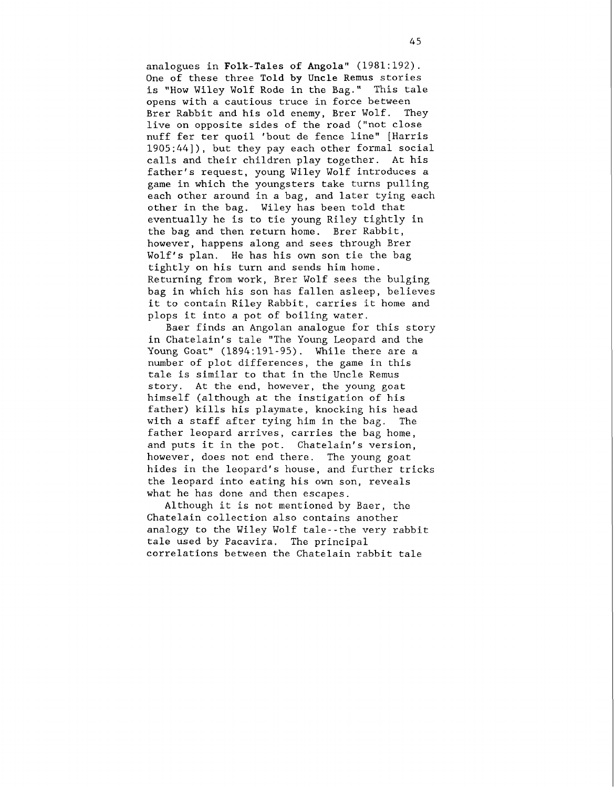analogues in Folk-Tales of Angola" (1981:192). One of these three Told by Uncle Remus stories is "How Wiley Wolf Rode in the Bag." This tale opens with a cautious truce in force between Brer Rabbit and his old enemy, Brer Wolf. They live on opposite sides of the road ("not close nuff fer ter quoil 'bout de fence line" [Harris 1905:44]), but they pay each other formal social calls and their children play together. At his father's request, young Wiley Wolf introduces a game in which the youngsters take turns pulling each other around in a bag, and later tying each other in the bag. Wiley has been told that eventually he is to tie young Riley tightly in the bag and then return home. Brer Rabbit, however, happens along and sees through Brer Wolf's plan. He has his own son tie the bag tightly on his turn and sends him home. Returning from work, Brer Wolf sees the bulging bag in which his son has fallen asleep, believes it to contain Riley Rabbit, carries it home and plops it into a pot of boiling water.

Baer finds an Angolan analogue for this story in Chatelain's tale "The Young Leopard and the Young Goat" (1894:191-95). While there are a number of plot differences, the game in this tale is similar to that in the Uncle Remus story. At the end, however, the young goat himself (although at the instigation of his father) kills his playmate, knocking his head with a staff after tying him in the bag. The father leopard arrives, carries the bag home, and puts it in the pot. Chatelain's version, however, does not end there. The young goat hides in the leopard's house, and further tricks the leopard into eating his own son, reveals what he has done and then escapes.

Although it is not mentioned by Baer, the Chatelain collection also contains another analogy to the Wiley Wolf tale--the very rabbit tale used by Pacavira. The principal correlations between the Chatelain rabbit tale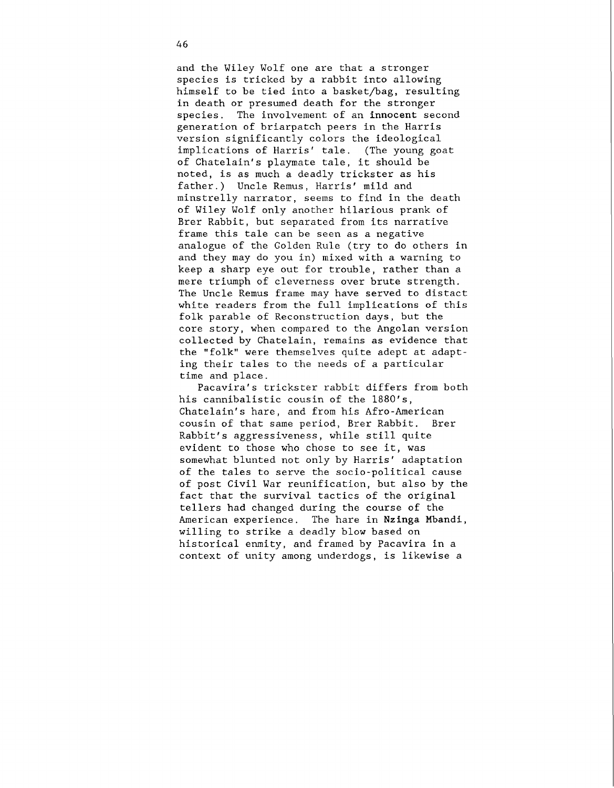and the Wiley Wolf one are that a stronger species is tricked by a rabbit into allowing himself to be tied into a basket/bag, resulting in death or presumed death for the stronger species. The involvement of an **innocent** second generation of briarpatch peers in the Harris version significantly colors the ideological implications of Harris' tale. (The young goat of Chatelain's playmate tale, it should be noted, is as much a deadly trickster as his father.) Uncle Remus, Harris' mild and minstrelly narrator, seems to find in the death of Wiley Wolf only another hilarious prank of Brer Rabbit, but separated from its narrative frame this tale can be seen as a negative analogue of the Golden Rule (try to do others in and they may do you in) mixed with a warning to keep a sharp eye out for trouble, rather than a mere triumph of cleverness over brute strength. The Uncle Remus frame may have served to distact white readers from the full implications of this folk parable of Reconstruction days, but the core story, when compared to the Angolan version collected by Chatelain, remains as evidence that the "folk" were themselves quite adept at adapting their tales to the needs of a particular time and place.

Pacavira's trickster rabbit differs from both his cannibalistic cousin of the  $1880's$ , Chatelain's hare, and from his Afro-American cousin of that same period, Brer Rabbit. Brer Rabbit's aggressiveness, while still quite evident to those who chose to see it, was somewhat blunted not only by Harris' adaptation of the tales to serve the socio-political cause of post Civil War reunification, but also by the fact that the survival tactics of the original tellers had changed during the course of the American experience. The hare in **Nzinga Mbandi,**  willing to strike a deadly blow based on historical enmity, and framed by Pacavira in a context of unity among underdogs, is likewise a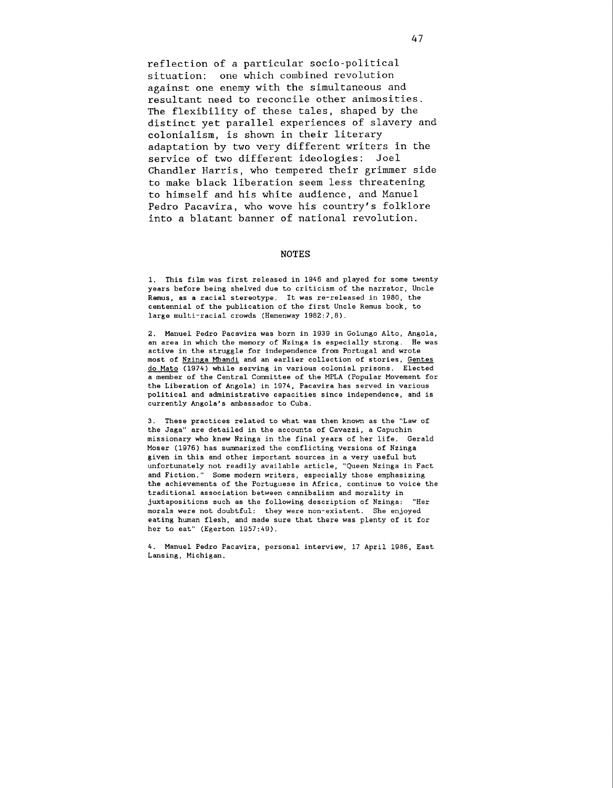reflection of a particular socio-political situation: one which combined revolution against one enemy with the simultaneous and resultant need to reconcile other animosities. The flexibility of these tales, shaped by the distinct yet parallel experiences of slavery and colonialism, is shown in their literary adaptation by two very different writers in the service of two different ideologies: Joel Chandler Harris, who tempered their grimmer side to make black liberation seem less threatening to himself and his white audience, and Manuel Pedro Pacavira, who wove his country's folklore into a blatant banner of national revolution.

## **NOTES**

1. This film was first released in 1946 and played for some twenty years before being shelved due to criticism of the narrator, Uncle Remus, as a racial stereotype. It was re-released in 1980, the centennial of the publication of the first Uncle Remus book, to large multi-racial crowds (Hemenway 1982:7,8).

2. Manuel Pedro Pacavira was born in 1939 in Golungo Alto, Angola, an area in which the memory of Nzinga is especially strong. He was active in the struggle for independence from Portugal and wrote most of Nzinga Mbandi and an earlier collection of stories, Gentes do Mato (1974) while serving in various colonial prisons. Elected a member of the Central Comnittee of the MPLA (Popular Movement for the Liberation of Angola) in 1974, Pacavira has served in various political and administrative capacities since independence, and is currently Angola's ambassador to Cuba.

3. These practices related to what was then known as the "Law of the Jaga" are detailed in the accounts of Cavazzi, a Capuchin missionary who knew Nzinga in the final years of her life. Gerald Moser (1976) has summarized the conflicting versions of Nzinga given in this and other important sources in a very useful but unfortunately not readily available article, "Queen Nzinga in Fact and Fiction." Some modern writers, especially those emphasizing the achievements of the Portuguese in Africa, continue to voice the traditional association between cannibalism and morality in juxtapositions such as the following description of Nzinga: "Her morals were not doubtful: they were non-existent. She enjoyed eating human flesh, and made sure that there was plenty of it for her to eat" (Egerton 1957:49).

4. Manuel Pedro Pacavira, personal interview, 17 April 1986, East Lansing, Michigan.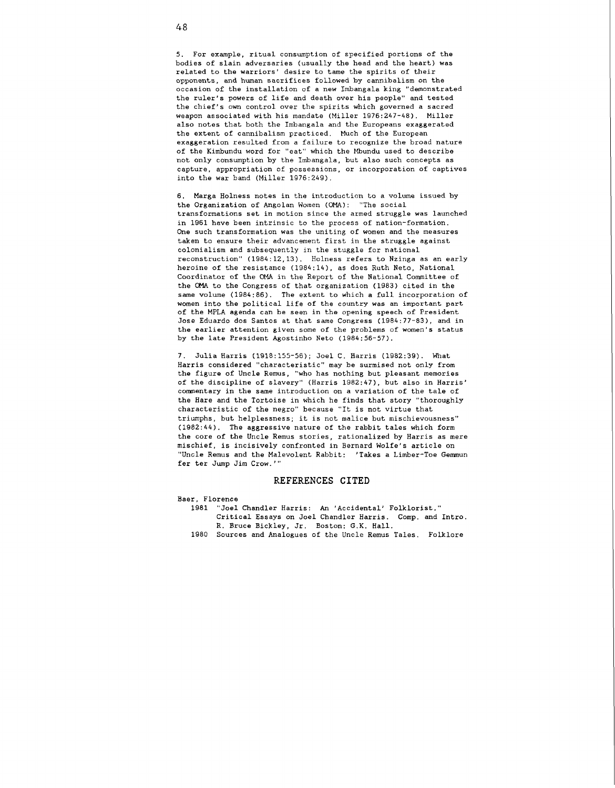5. For example, ritual consumption of specified portions of the bodies of slain adversaries (usually the head and the heart) was related to the warriors' desire to tame the spirits of their opponents, and human sacrifices followed by cannibalism on the occasion of the installation of a new Imbangala king "demonstrated the ruler's powers of life and death over his people" and tested the chief's own control over the spirits which governed a sacred weapon associated with his mandate (Miller 1976:247-48). Miller also notes that both the Imbangala and the Europeans exaggerated the extent of cannibalism practiced. Much of the European exaggeration resulted from a failure to recognize the broad nature of the Kimbundu word for "eat" which the Mbundu used to describe not only consumption by the Imbangala, but also such concepts as capture, appropriation of possessions, or incorporation of captives into the war band (Miller 1976:249).

6. Marga Holness notes in the introduction to a volume issued by the Organization of Angolan Woinen (OMA): "The social transformations set in motion since the armed struggle was launched in 1961 have been intrinsic to the process of nation-formation. One such transformation was the uniting of women and the measures taken to ensure their advancement first in the struggle against colonialism and subsequently in the stuggle for national reconstruction" (1984:12,13). Holness refers to Nzinga as an early heroine of the resistance (1984:14), as does Ruth Neto, National Coordinator of the **OMA** in the Report of the National Committee of the OMA to the Congress of that organization (1983) cited in the same volume (1984:86). The extent to which a full incorporation of women into the political life of the country was an important part of the MPLA agenda can be seen in the opening speech of President Jose Eduardo dos Santos at that same Congress (1984:77-83). and in the earlier attention given some of the problems of women's status by the late President Agostinho Neto (1984:56-57).

7. Julia Harris (1918:155-56); Joel C. Harris (1982:39). What Harris considered "characteristic" may be surmised not only from the figure of Uncle Remus, "who has nothing but pleasant memories of the discipline of slavery" (Harris 1982:47), but also in Harris' comnentary in the same introduction on a variation of the tale of the Hare and the Tortoise in which he finds that story "thoroughly characteristic of the negro" because "It is not virtue that triumphs, but helplessness; it is not malice but mischievousness" (1982:44). The aggressive nature of the rabbit tales which form the core of the Uncle Remus stories, rationalized by Harris as mere mischief, is incisively confronted in Bernard Wolfe's article on "Uncle Remus and the Malevolent Rabbit: 'Takes a Limber-Toe Germnun fer ter Jump Jim Crow. "'

## REFERENCES CITED

Baer, Florence

- 1981 "Joel Chandler Harris: An 'Accidental' Folklorist." Critical Essays on Joel Chandler Harris. Comp. and Intro. R. Bruce Bickley, Jr. Boston: G.K. Hall.
- 1980 Sources and Analogues of the Uncle Remus Tales. Folklore

48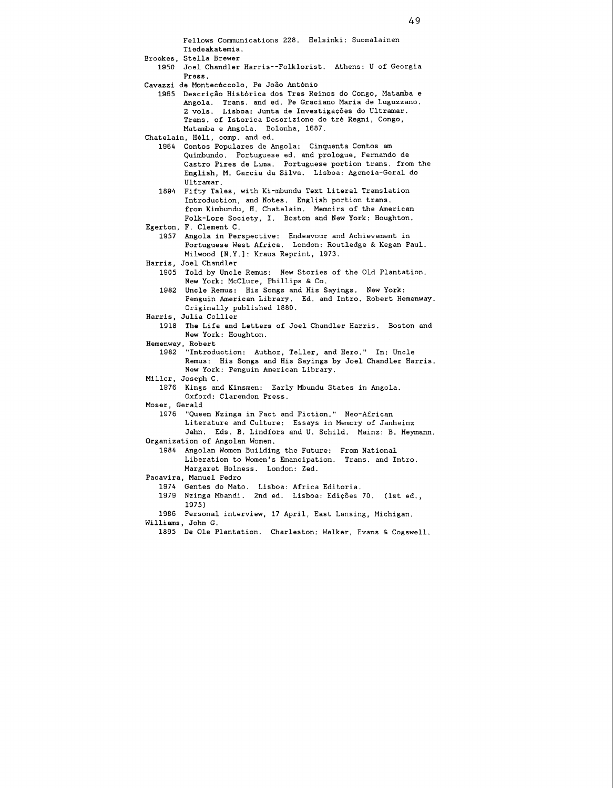Fellows Communications 228. Helsinki: Suomalainen Tiedeakatemia.

- Brookes, Stella Brewer
- 1950 Joel Chandler Harris--Folklorist. Athens: U of Georgia Press.
- Cavazzi de Montecàccolo, Pe Joâo Antônio
	- 1965 Descrição Histórica dos Tres Reinos do Congo, Matamba e Angola. Trans, and ed. Pe Graciano Maria de Luguzzano. 2 vols. Lisboa: Junta de Investigações do Ultramar. Trans. of Istorica Descrizione de trè Regni, Congo, Matamba e Angola. Bolonha, 1687.
- Chatelain, Hėli, comp. and ed.<br>1964 Contos Populares de A
	- Contos Populares de Angola: Cinquenta Contos em Quimbundo. Portuguese ed. and prologue, Fernando de Castro Pires de Lima. Portuguese portion trans. from the English, M. Garcia da Silva. Lisboa: Agencia-Geral do Ultramar.
	- 1894 Fifty Tales, with Ki-mbundu Text Literal Translation Introduction, and Notes. English portion trans. from Kimbundu, H. Chatelain. Memoirs of the American Folk-Lore Society, I. Boston and New York: Houghton.

```
Egerton, F. Clement C.
```
- 1957 Angola in Perspective: Endeavour and Achievement in Portuguese West Africa. London: Routledge **6** Kegan Paul. Milwood [N.Y.]: Kraus Reprint, 1973.
- Harris, Joel Chandler
	- 1905 Told by Uncle Remus: New Stories of the Old Plantation. New York: McClure, Phillips **h** Co.
	- 1982 Uncle Remus: His Songs and His Sayings. New York: Penguin American Library. Ed. and Intro. Robert Hemenway. Originally published 1880.
- Harris, Julia Collier
	- 1918 The Life and Letters of Joel Chandler Harris. Boston and New York: Houghton.
- Hemenway, Robert
	- "Introduction: Author, Teller, and Hero." In: Uncle Remus: His Songs and His Sayings by Joel Chandler Harris. New York: Penguin American Library.
- Miller, Joseph C.
	- 1976 Kings and Kinsmen: Early Mbundu States in Angola. Oxford: Clarendon Press.

Moser, Gerald

1976 "Queen Nzinga in Fact and Fiction." Neo-African Literature and Culture: Essays in Memory of Janheinz Jahn. Eds. B. Lindfors and U. Schild. Mainz: B. Heymann.

```
Organization of Angolan Women.
```
1984 Angolan Women Building the Future: From National Liberation to Women's Emancipation. Trans. and Intro. Margaret Holness. London: Zed.

- Pacavira, Manuel Pedro
	- 1974 Gentes do Mato. Lisboa: Africa Editoria.
	- 1979 Nzinga Mbandi. 2nd ed. Lisboa: Edip8es 70. (1st ed., 1975)
- 1986 Personal interview, 17 April, East Lansing, Michigan. Williams, John G.
	- 1895 De Ole Plantation. Charleston: Walker, Evans **6** Cogswell.